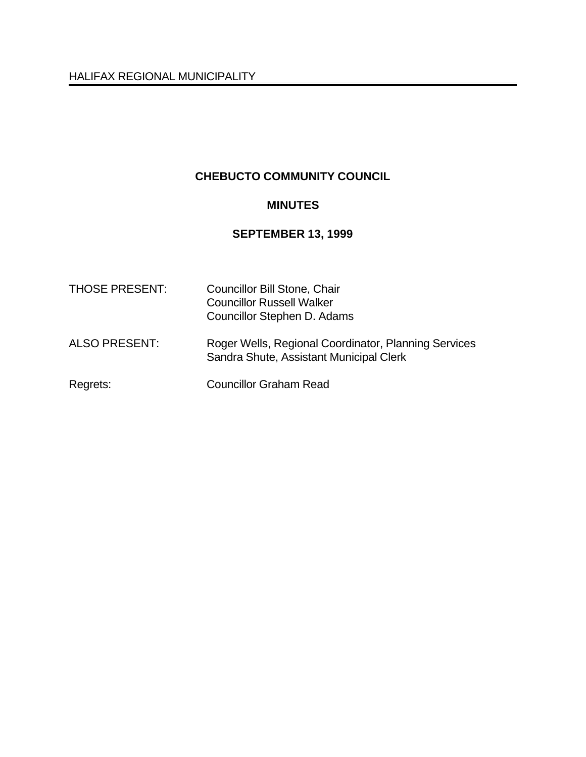HALIFAX REGIONAL MUNICIPALITY

# **CHEBUCTO COMMUNITY COUNCIL**

# **MINUTES**

# **SEPTEMBER 13, 1999**

| <b>THOSE PRESENT:</b> | <b>Councillor Bill Stone, Chair</b><br><b>Councillor Russell Walker</b><br>Councillor Stephen D. Adams |
|-----------------------|--------------------------------------------------------------------------------------------------------|
| <b>ALSO PRESENT:</b>  | Roger Wells, Regional Coordinator, Planning Services<br>Sandra Shute, Assistant Municipal Clerk        |
| Regrets:              | <b>Councillor Graham Read</b>                                                                          |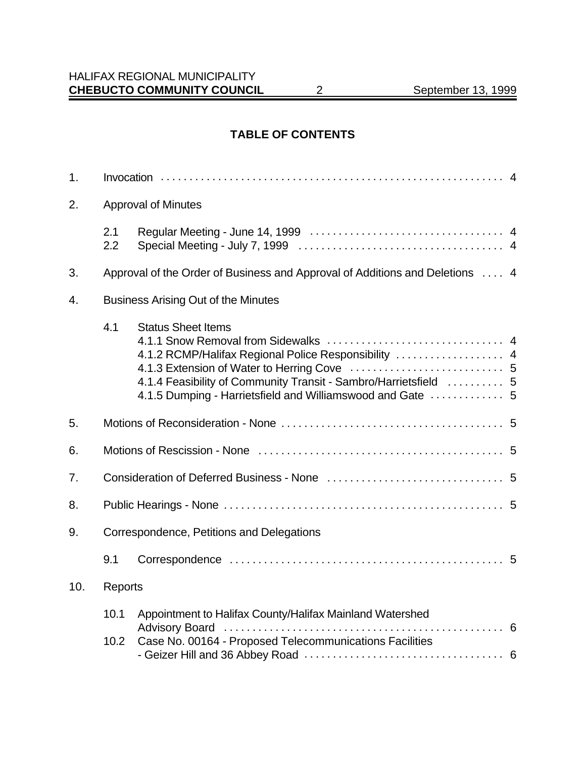# **TABLE OF CONTENTS**

| 1.  |              |                                                                                                                                                                                                                     |  |
|-----|--------------|---------------------------------------------------------------------------------------------------------------------------------------------------------------------------------------------------------------------|--|
| 2.  |              | <b>Approval of Minutes</b>                                                                                                                                                                                          |  |
|     | 2.1<br>2.2   |                                                                                                                                                                                                                     |  |
| 3.  |              | Approval of the Order of Business and Approval of Additions and Deletions  4                                                                                                                                        |  |
| 4.  |              | <b>Business Arising Out of the Minutes</b>                                                                                                                                                                          |  |
|     | 4.1          | <b>Status Sheet Items</b><br>4.1.2 RCMP/Halifax Regional Police Responsibility  4<br>4.1.4 Feasibility of Community Transit - Sambro/Harrietsfield  5<br>4.1.5 Dumping - Harrietsfield and Williamswood and Gate  5 |  |
| 5.  |              |                                                                                                                                                                                                                     |  |
| 6.  |              |                                                                                                                                                                                                                     |  |
| 7.  |              |                                                                                                                                                                                                                     |  |
| 8.  |              |                                                                                                                                                                                                                     |  |
| 9.  |              | Correspondence, Petitions and Delegations                                                                                                                                                                           |  |
|     | 9.1          |                                                                                                                                                                                                                     |  |
| 10. | Reports      |                                                                                                                                                                                                                     |  |
|     | 10.1<br>10.2 | Appointment to Halifax County/Halifax Mainland Watershed<br>Case No. 00164 - Proposed Telecommunications Facilities                                                                                                 |  |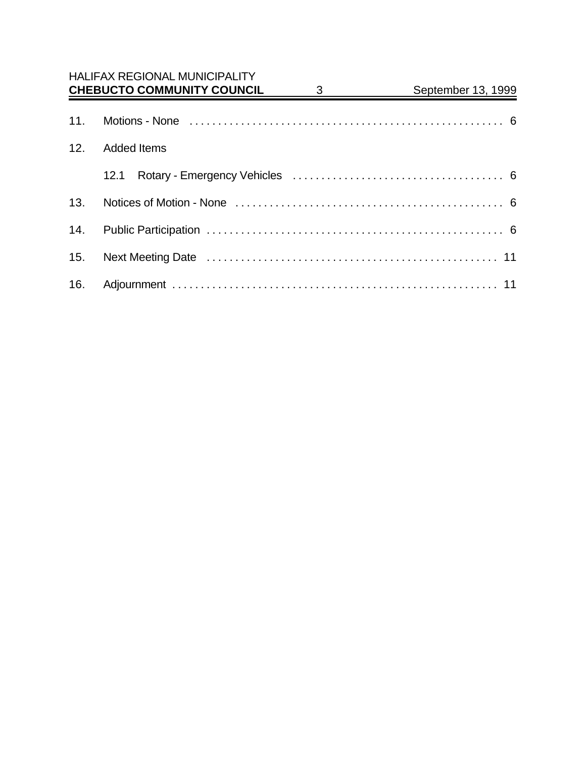|     | <b>HALIFAX REGIONAL MUNICIPALITY</b><br><b>CHEBUCTO COMMUNITY COUNCIL</b> | 3 | September 13, 1999 |
|-----|---------------------------------------------------------------------------|---|--------------------|
| 11. |                                                                           |   |                    |
| 12. | <b>Added Items</b>                                                        |   |                    |
|     | 12.1                                                                      |   |                    |
| 13. |                                                                           |   |                    |
| 14. |                                                                           |   |                    |
| 15. |                                                                           |   |                    |
| 16. |                                                                           |   |                    |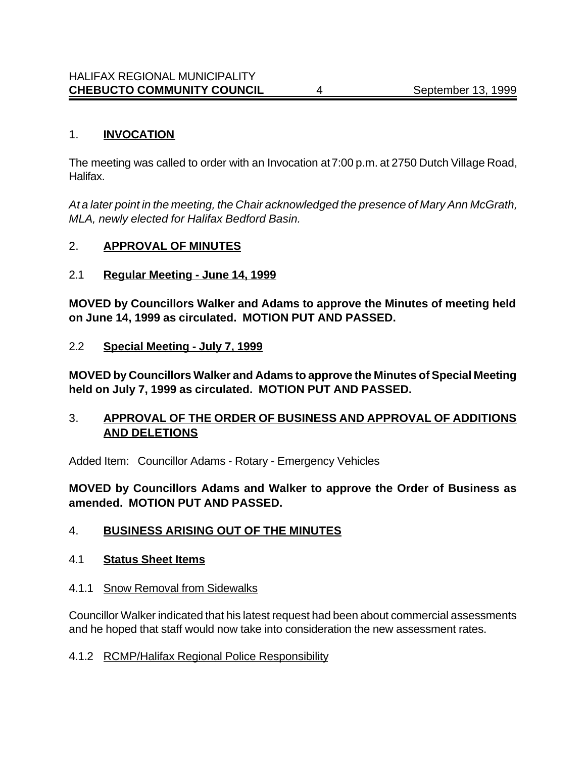#### 1. **INVOCATION**

The meeting was called to order with an Invocation at 7:00 p.m. at 2750 Dutch Village Road, Halifax.

*At a later point in the meeting, the Chair acknowledged the presence of Mary Ann McGrath, MLA, newly elected for Halifax Bedford Basin.*

## 2. **APPROVAL OF MINUTES**

## 2.1 **Regular Meeting - June 14, 1999**

**MOVED by Councillors Walker and Adams to approve the Minutes of meeting held on June 14, 1999 as circulated. MOTION PUT AND PASSED.**

## 2.2 **Special Meeting - July 7, 1999**

**MOVED by Councillors Walker and Adams to approve the Minutes of Special Meeting held on July 7, 1999 as circulated. MOTION PUT AND PASSED.**

# 3. **APPROVAL OF THE ORDER OF BUSINESS AND APPROVAL OF ADDITIONS AND DELETIONS**

Added Item: Councillor Adams - Rotary - Emergency Vehicles

**MOVED by Councillors Adams and Walker to approve the Order of Business as amended. MOTION PUT AND PASSED.**

# 4. **BUSINESS ARISING OUT OF THE MINUTES**

#### 4.1 **Status Sheet Items**

4.1.1 Snow Removal from Sidewalks

Councillor Walker indicated that his latest request had been about commercial assessments and he hoped that staff would now take into consideration the new assessment rates.

#### 4.1.2 RCMP/Halifax Regional Police Responsibility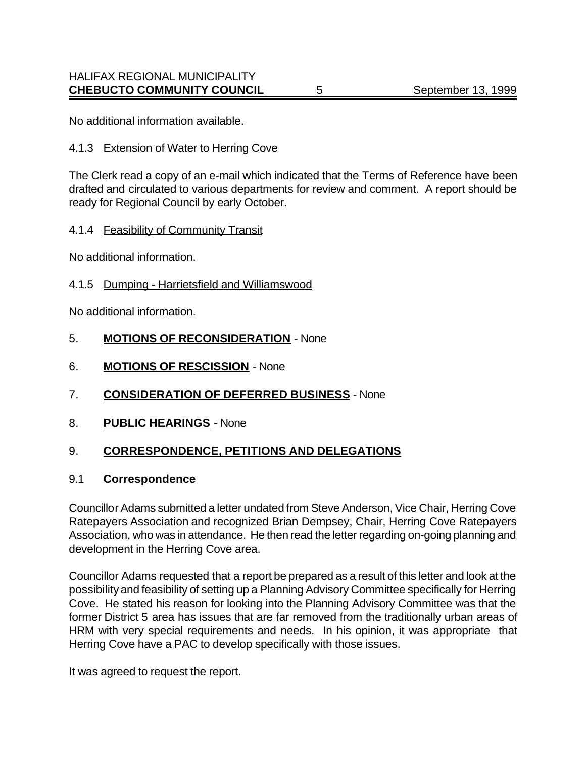No additional information available.

#### 4.1.3 Extension of Water to Herring Cove

The Clerk read a copy of an e-mail which indicated that the Terms of Reference have been drafted and circulated to various departments for review and comment. A report should be ready for Regional Council by early October.

#### 4.1.4 Feasibility of Community Transit

No additional information.

#### 4.1.5 Dumping - Harrietsfield and Williamswood

No additional information.

#### 5. **MOTIONS OF RECONSIDERATION** - None

- 6. **MOTIONS OF RESCISSION** None
- 7. **CONSIDERATION OF DEFERRED BUSINESS** None
- 8. **PUBLIC HEARINGS** None

# 9. **CORRESPONDENCE, PETITIONS AND DELEGATIONS**

## 9.1 **Correspondence**

Councillor Adams submitted a letter undated from Steve Anderson, Vice Chair, Herring Cove Ratepayers Association and recognized Brian Dempsey, Chair, Herring Cove Ratepayers Association, who was in attendance. He then read the letter regarding on-going planning and development in the Herring Cove area.

Councillor Adams requested that a report be prepared as a result of this letter and look at the possibility and feasibility of setting up a Planning Advisory Committee specifically for Herring Cove. He stated his reason for looking into the Planning Advisory Committee was that the former District 5 area has issues that are far removed from the traditionally urban areas of HRM with very special requirements and needs. In his opinion, it was appropriate that Herring Cove have a PAC to develop specifically with those issues.

It was agreed to request the report.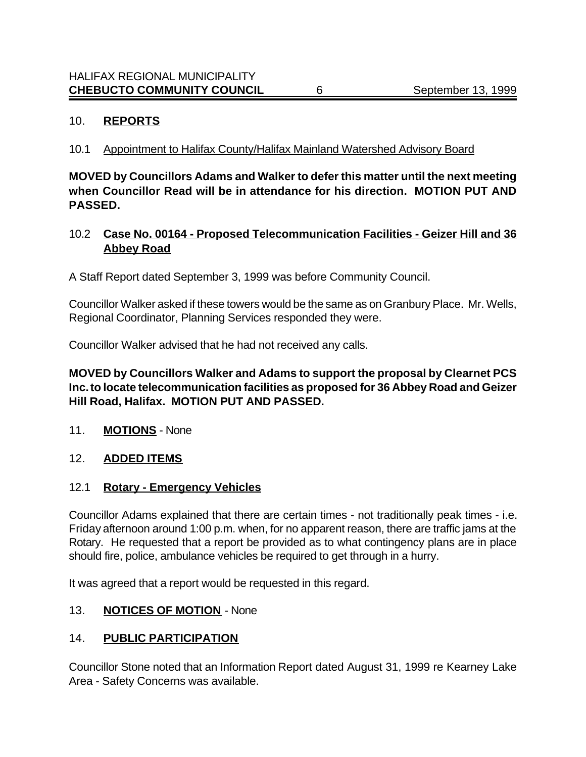### 10. **REPORTS**

## 10.1 Appointment to Halifax County/Halifax Mainland Watershed Advisory Board

**MOVED by Councillors Adams and Walker to defer this matter until the next meeting when Councillor Read will be in attendance for his direction. MOTION PUT AND PASSED.**

## 10.2 **Case No. 00164 - Proposed Telecommunication Facilities - Geizer Hill and 36 Abbey Road**

A Staff Report dated September 3, 1999 was before Community Council.

Councillor Walker asked if these towers would be the same as on Granbury Place. Mr. Wells, Regional Coordinator, Planning Services responded they were.

Councillor Walker advised that he had not received any calls.

## **MOVED by Councillors Walker and Adams to support the proposal by Clearnet PCS Inc. to locate telecommunication facilities as proposed for 36 Abbey Road and Geizer Hill Road, Halifax. MOTION PUT AND PASSED.**

11. **MOTIONS** - None

#### 12. **ADDED ITEMS**

# 12.1 **Rotary - Emergency Vehicles**

Councillor Adams explained that there are certain times - not traditionally peak times - i.e. Friday afternoon around 1:00 p.m. when, for no apparent reason, there are traffic jams at the Rotary. He requested that a report be provided as to what contingency plans are in place should fire, police, ambulance vehicles be required to get through in a hurry.

It was agreed that a report would be requested in this regard.

#### 13. **NOTICES OF MOTION** - None

# 14. **PUBLIC PARTICIPATION**

Councillor Stone noted that an Information Report dated August 31, 1999 re Kearney Lake Area - Safety Concerns was available.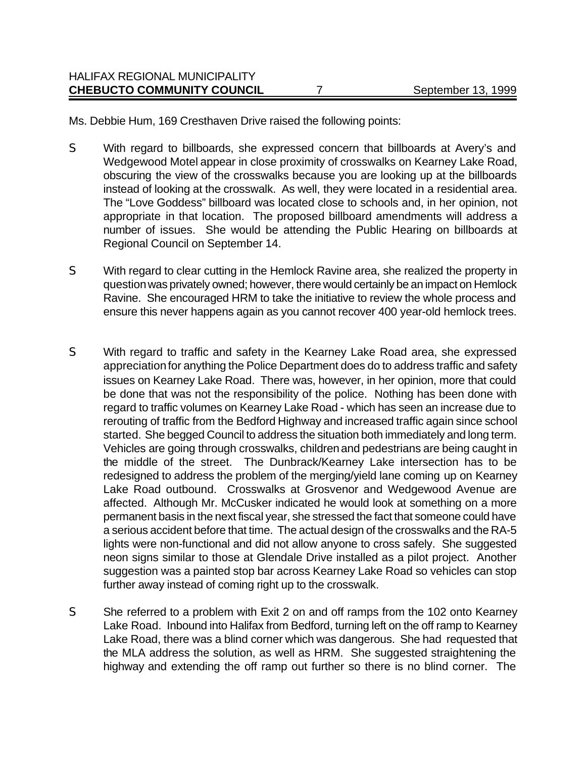Ms. Debbie Hum, 169 Cresthaven Drive raised the following points:

- S With regard to billboards, she expressed concern that billboards at Avery's and Wedgewood Motel appear in close proximity of crosswalks on Kearney Lake Road, obscuring the view of the crosswalks because you are looking up at the billboards instead of looking at the crosswalk. As well, they were located in a residential area. The "Love Goddess" billboard was located close to schools and, in her opinion, not appropriate in that location. The proposed billboard amendments will address a number of issues. She would be attending the Public Hearing on billboards at Regional Council on September 14.
- S With regard to clear cutting in the Hemlock Ravine area, she realized the property in question was privately owned; however, there would certainly be an impact on Hemlock Ravine. She encouraged HRM to take the initiative to review the whole process and ensure this never happens again as you cannot recover 400 year-old hemlock trees.
- S With regard to traffic and safety in the Kearney Lake Road area, she expressed appreciation for anything the Police Department does do to address traffic and safety issues on Kearney Lake Road. There was, however, in her opinion, more that could be done that was not the responsibility of the police. Nothing has been done with regard to traffic volumes on Kearney Lake Road - which has seen an increase due to rerouting of traffic from the Bedford Highway and increased traffic again since school started. She begged Council to address the situation both immediately and long term. Vehicles are going through crosswalks, children and pedestrians are being caught in the middle of the street. The Dunbrack/Kearney Lake intersection has to be redesigned to address the problem of the merging/yield lane coming up on Kearney Lake Road outbound. Crosswalks at Grosvenor and Wedgewood Avenue are affected. Although Mr. McCusker indicated he would look at something on a more permanent basis in the next fiscal year, she stressed the fact that someone could have a serious accident before that time. The actual design of the crosswalks and the RA-5 lights were non-functional and did not allow anyone to cross safely. She suggested neon signs similar to those at Glendale Drive installed as a pilot project. Another suggestion was a painted stop bar across Kearney Lake Road so vehicles can stop further away instead of coming right up to the crosswalk.
- S She referred to a problem with Exit 2 on and off ramps from the 102 onto Kearney Lake Road. Inbound into Halifax from Bedford, turning left on the off ramp to Kearney Lake Road, there was a blind corner which was dangerous. She had requested that the MLA address the solution, as well as HRM. She suggested straightening the highway and extending the off ramp out further so there is no blind corner. The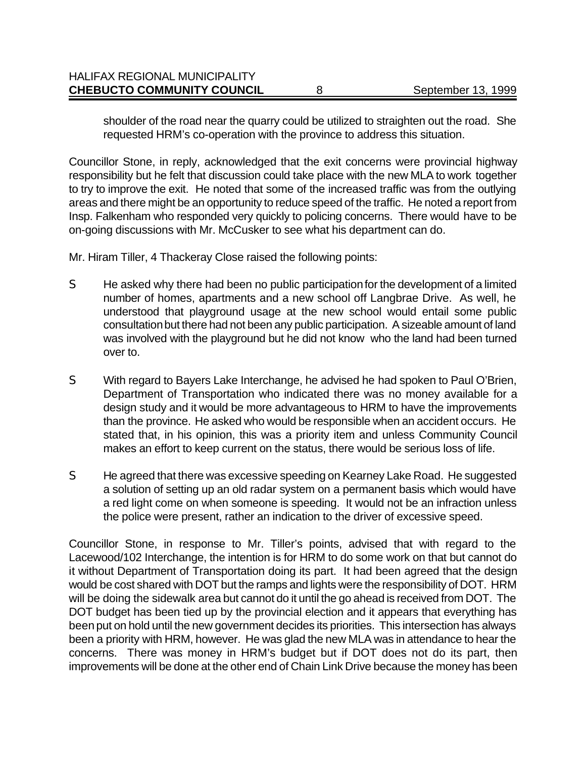| <b>HALIFAX REGIONAL MUNICIPALITY</b><br><b>CHEBUCTO COMMUNITY COUNCIL</b> | September 13, 1999 |
|---------------------------------------------------------------------------|--------------------|
|                                                                           |                    |

shoulder of the road near the quarry could be utilized to straighten out the road. She requested HRM's co-operation with the province to address this situation.

Councillor Stone, in reply, acknowledged that the exit concerns were provincial highway responsibility but he felt that discussion could take place with the new MLA to work together to try to improve the exit. He noted that some of the increased traffic was from the outlying areas and there might be an opportunity to reduce speed of the traffic. He noted a report from Insp. Falkenham who responded very quickly to policing concerns. There would have to be on-going discussions with Mr. McCusker to see what his department can do.

Mr. Hiram Tiller, 4 Thackeray Close raised the following points:

- S He asked why there had been no public participation for the development of a limited number of homes, apartments and a new school off Langbrae Drive. As well, he understood that playground usage at the new school would entail some public consultation but there had not been any public participation. A sizeable amount of land was involved with the playground but he did not know who the land had been turned over to.
- S With regard to Bayers Lake Interchange, he advised he had spoken to Paul O'Brien, Department of Transportation who indicated there was no money available for a design study and it would be more advantageous to HRM to have the improvements than the province. He asked who would be responsible when an accident occurs. He stated that, in his opinion, this was a priority item and unless Community Council makes an effort to keep current on the status, there would be serious loss of life.
- S He agreed that there was excessive speeding on Kearney Lake Road. He suggested a solution of setting up an old radar system on a permanent basis which would have a red light come on when someone is speeding. It would not be an infraction unless the police were present, rather an indication to the driver of excessive speed.

Councillor Stone, in response to Mr. Tiller's points, advised that with regard to the Lacewood/102 Interchange, the intention is for HRM to do some work on that but cannot do it without Department of Transportation doing its part. It had been agreed that the design would be cost shared with DOT but the ramps and lights were the responsibility of DOT. HRM will be doing the sidewalk area but cannot do it until the go ahead is received from DOT. The DOT budget has been tied up by the provincial election and it appears that everything has been put on hold until the new government decides its priorities. This intersection has always been a priority with HRM, however. He was glad the new MLA was in attendance to hear the concerns. There was money in HRM's budget but if DOT does not do its part, then improvements will be done at the other end of Chain Link Drive because the money has been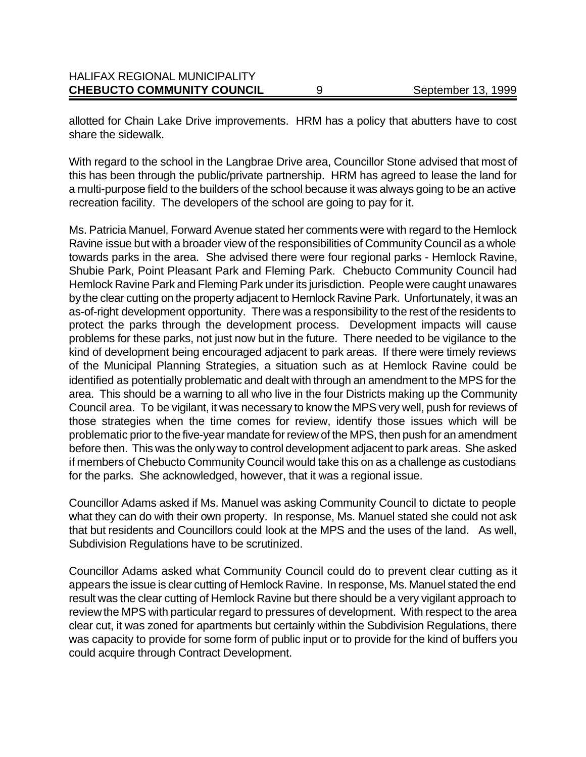| <b>CHEBUCTO COMMUNITY COUNCIL</b>    | September 13, 1999 |
|--------------------------------------|--------------------|
| <b>HALIFAX REGIONAL MUNICIPALITY</b> |                    |

allotted for Chain Lake Drive improvements. HRM has a policy that abutters have to cost share the sidewalk.

With regard to the school in the Langbrae Drive area, Councillor Stone advised that most of this has been through the public/private partnership. HRM has agreed to lease the land for a multi-purpose field to the builders of the school because it was always going to be an active recreation facility. The developers of the school are going to pay for it.

Ms. Patricia Manuel, Forward Avenue stated her comments were with regard to the Hemlock Ravine issue but with a broader view of the responsibilities of Community Council as a whole towards parks in the area. She advised there were four regional parks - Hemlock Ravine, Shubie Park, Point Pleasant Park and Fleming Park. Chebucto Community Council had Hemlock Ravine Park and Fleming Park under its jurisdiction. People were caught unawares by the clear cutting on the property adjacent to Hemlock Ravine Park. Unfortunately, it was an as-of-right development opportunity. There was a responsibility to the rest of the residents to protect the parks through the development process. Development impacts will cause problems for these parks, not just now but in the future. There needed to be vigilance to the kind of development being encouraged adjacent to park areas. If there were timely reviews of the Municipal Planning Strategies, a situation such as at Hemlock Ravine could be identified as potentially problematic and dealt with through an amendment to the MPS for the area. This should be a warning to all who live in the four Districts making up the Community Council area. To be vigilant, it was necessary to know the MPS very well, push for reviews of those strategies when the time comes for review, identify those issues which will be problematic prior to the five-year mandate for review of the MPS, then push for an amendment before then. This was the only way to control development adjacent to park areas. She asked if members of Chebucto Community Council would take this on as a challenge as custodians for the parks. She acknowledged, however, that it was a regional issue.

Councillor Adams asked if Ms. Manuel was asking Community Council to dictate to people what they can do with their own property. In response, Ms. Manuel stated she could not ask that but residents and Councillors could look at the MPS and the uses of the land. As well, Subdivision Regulations have to be scrutinized.

Councillor Adams asked what Community Council could do to prevent clear cutting as it appears the issue is clear cutting of Hemlock Ravine. In response, Ms. Manuel stated the end result was the clear cutting of Hemlock Ravine but there should be a very vigilant approach to review the MPS with particular regard to pressures of development. With respect to the area clear cut, it was zoned for apartments but certainly within the Subdivision Regulations, there was capacity to provide for some form of public input or to provide for the kind of buffers you could acquire through Contract Development.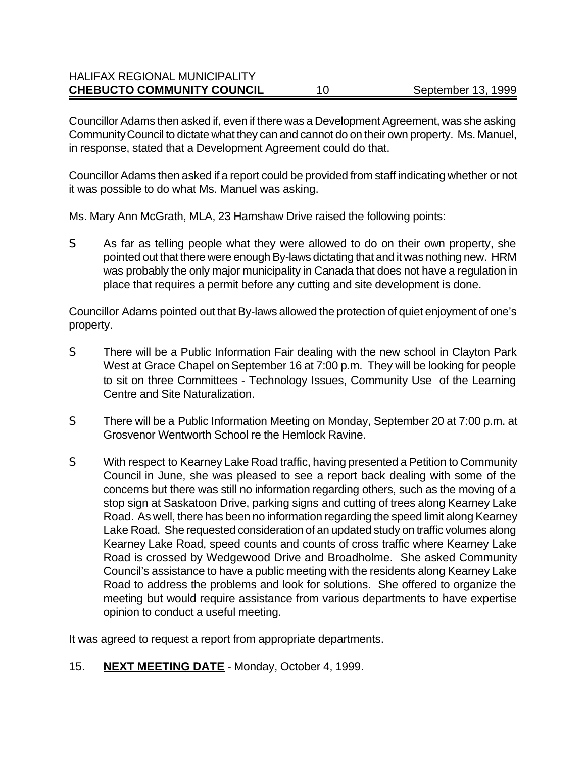### HALIFAX REGIONAL MUNICIPALITY **CHEBUCTO COMMUNITY COUNCIL** 10 September 13, 1999

Councillor Adams then asked if, even if there was a Development Agreement, was she asking Community Council to dictate what they can and cannot do on their own property. Ms. Manuel, in response, stated that a Development Agreement could do that.

Councillor Adams then asked if a report could be provided from staff indicating whether or not it was possible to do what Ms. Manuel was asking.

Ms. Mary Ann McGrath, MLA, 23 Hamshaw Drive raised the following points:

S As far as telling people what they were allowed to do on their own property, she pointed out that there were enough By-laws dictating that and it was nothing new. HRM was probably the only major municipality in Canada that does not have a regulation in place that requires a permit before any cutting and site development is done.

Councillor Adams pointed out that By-laws allowed the protection of quiet enjoyment of one's property.

- S There will be a Public Information Fair dealing with the new school in Clayton Park West at Grace Chapel on September 16 at 7:00 p.m. They will be looking for people to sit on three Committees - Technology Issues, Community Use of the Learning Centre and Site Naturalization.
- S There will be a Public Information Meeting on Monday, September 20 at 7:00 p.m. at Grosvenor Wentworth School re the Hemlock Ravine.
- S With respect to Kearney Lake Road traffic, having presented a Petition to Community Council in June, she was pleased to see a report back dealing with some of the concerns but there was still no information regarding others, such as the moving of a stop sign at Saskatoon Drive, parking signs and cutting of trees along Kearney Lake Road. As well, there has been no information regarding the speed limit along Kearney Lake Road. She requested consideration of an updated study on traffic volumes along Kearney Lake Road, speed counts and counts of cross traffic where Kearney Lake Road is crossed by Wedgewood Drive and Broadholme. She asked Community Council's assistance to have a public meeting with the residents along Kearney Lake Road to address the problems and look for solutions. She offered to organize the meeting but would require assistance from various departments to have expertise opinion to conduct a useful meeting.

It was agreed to request a report from appropriate departments.

15. **NEXT MEETING DATE** - Monday, October 4, 1999.